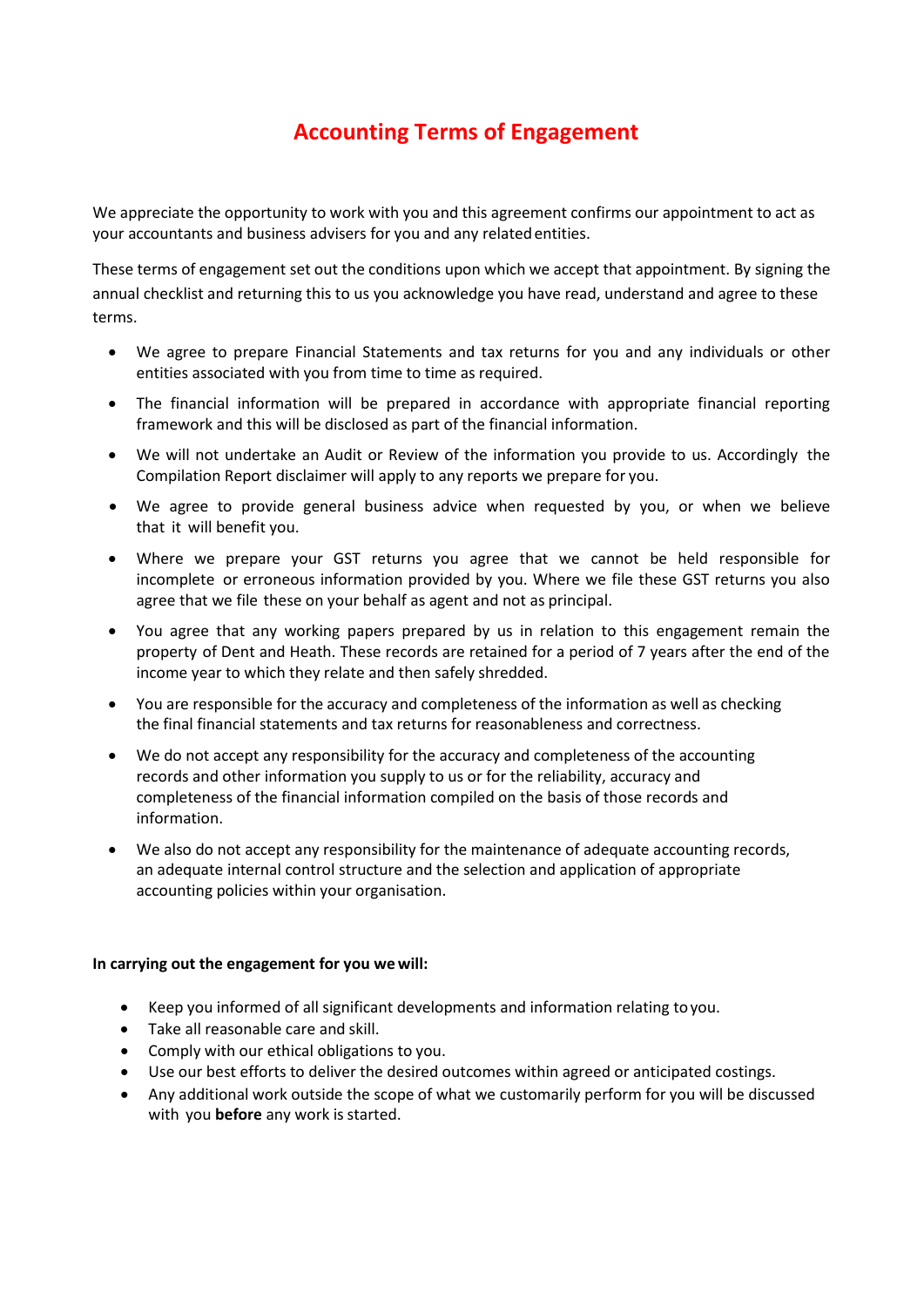# **Accounting Terms of Engagement**

We appreciate the opportunity to work with you and this agreement confirms our appointment to act as your accountants and business advisers for you and any relatedentities.

These terms of engagement set out the conditions upon which we accept that appointment. By signing the annual checklist and returning this to us you acknowledge you have read, understand and agree to these terms.

- We agree to prepare Financial Statements and tax returns for you and any individuals or other entities associated with you from time to time as required.
- The financial information will be prepared in accordance with appropriate financial reporting framework and this will be disclosed as part of the financial information.
- We will not undertake an Audit or Review of the information you provide to us. Accordingly the Compilation Report disclaimer will apply to any reports we prepare for you.
- We agree to provide general business advice when requested by you, or when we believe that it will benefit you.
- Where we prepare your GST returns you agree that we cannot be held responsible for incomplete or erroneous information provided by you. Where we file these GST returns you also agree that we file these on your behalf as agent and not as principal.
- You agree that any working papers prepared by us in relation to this engagement remain the property of Dent and Heath. These records are retained for a period of 7 years after the end of the income year to which they relate and then safely shredded.
- You are responsible for the accuracy and completeness of the information as well as checking the final financial statements and tax returns for reasonableness and correctness.
- We do not accept any responsibility for the accuracy and completeness of the accounting records and other information you supply to us or for the reliability, accuracy and completeness of the financial information compiled on the basis of those records and information.
- We also do not accept any responsibility for the maintenance of adequate accounting records, an adequate internal control structure and the selection and application of appropriate accounting policies within your organisation.

# **In carrying out the engagement for you we will:**

- Keep you informed of all significant developments and information relating to you.
- Take all reasonable care and skill.
- Comply with our ethical obligations to you.
- Use our best efforts to deliver the desired outcomes within agreed or anticipated costings.
- Any additional work outside the scope of what we customarily perform for you will be discussed with you **before** any work is started.